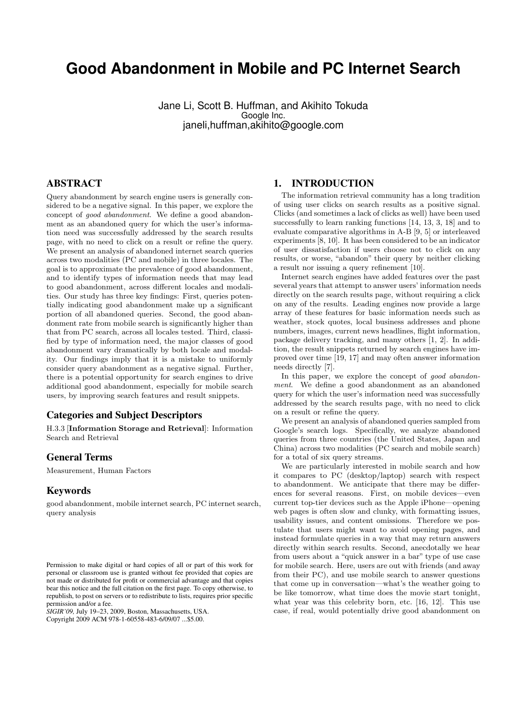# **Good Abandonment in Mobile and PC Internet Search**

Jane Li, Scott B. Huffman, and Akihito Tokuda Google Inc. janeli,huffman,akihito@google.com

# ABSTRACT

Query abandonment by search engine users is generally considered to be a negative signal. In this paper, we explore the concept of good abandonment. We define a good abandonment as an abandoned query for which the user's information need was successfully addressed by the search results page, with no need to click on a result or refine the query. We present an analysis of abandoned internet search queries across two modalities (PC and mobile) in three locales. The goal is to approximate the prevalence of good abandonment, and to identify types of information needs that may lead to good abandonment, across different locales and modalities. Our study has three key findings: First, queries potentially indicating good abandonment make up a significant portion of all abandoned queries. Second, the good abandonment rate from mobile search is significantly higher than that from PC search, across all locales tested. Third, classified by type of information need, the major classes of good abandonment vary dramatically by both locale and modality. Our findings imply that it is a mistake to uniformly consider query abandonment as a negative signal. Further, there is a potential opportunity for search engines to drive additional good abandonment, especially for mobile search users, by improving search features and result snippets.

# Categories and Subject Descriptors

H.3.3 [Information Storage and Retrieval]: Information Search and Retrieval

## General Terms

Measurement, Human Factors

# Keywords

good abandonment, mobile internet search, PC internet search, query analysis

*SIGIR'09,* July 19–23, 2009, Boston, Massachusetts, USA. Copyright 2009 ACM 978-1-60558-483-6/09/07 ...\$5.00.

# 1. INTRODUCTION

The information retrieval community has a long tradition of using user clicks on search results as a positive signal. Clicks (and sometimes a lack of clicks as well) have been used successfully to learn ranking functions [14, 13, 3, 18] and to evaluate comparative algorithms in A-B [9, 5] or interleaved experiments [8, 10]. It has been considered to be an indicator of user dissatisfaction if users choose not to click on any results, or worse, "abandon" their query by neither clicking a result nor issuing a query refinement [10].

Internet search engines have added features over the past several years that attempt to answer users' information needs directly on the search results page, without requiring a click on any of the results. Leading engines now provide a large array of these features for basic information needs such as weather, stock quotes, local business addresses and phone numbers, images, current news headlines, flight information, package delivery tracking, and many others [1, 2]. In addition, the result snippets returned by search engines have improved over time [19, 17] and may often answer information needs directly [7].

In this paper, we explore the concept of good abandonment. We define a good abandonment as an abandoned query for which the user's information need was successfully addressed by the search results page, with no need to click on a result or refine the query.

We present an analysis of abandoned queries sampled from Google's search logs. Specifically, we analyze abandoned queries from three countries (the United States, Japan and China) across two modalities (PC search and mobile search) for a total of six query streams.

We are particularly interested in mobile search and how it compares to PC (desktop/laptop) search with respect to abandonment. We anticipate that there may be differences for several reasons. First, on mobile devices—even current top-tier devices such as the Apple iPhone—opening web pages is often slow and clunky, with formatting issues, usability issues, and content omissions. Therefore we postulate that users might want to avoid opening pages, and instead formulate queries in a way that may return answers directly within search results. Second, anecdotally we hear from users about a "quick answer in a bar" type of use case for mobile search. Here, users are out with friends (and away from their PC), and use mobile search to answer questions that come up in conversation—what's the weather going to be like tomorrow, what time does the movie start tonight, what year was this celebrity born, etc. [16, 12]. This use case, if real, would potentially drive good abandonment on

Permission to make digital or hard copies of all or part of this work for personal or classroom use is granted without fee provided that copies are not made or distributed for profit or commercial advantage and that copies bear this notice and the full citation on the first page. To copy otherwise, to republish, to post on servers or to redistribute to lists, requires prior specific permission and/or a fee.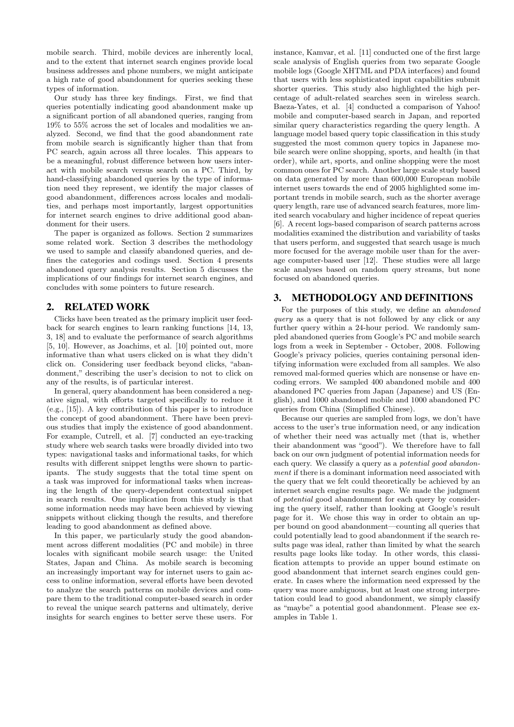mobile search. Third, mobile devices are inherently local, and to the extent that internet search engines provide local business addresses and phone numbers, we might anticipate a high rate of good abandonment for queries seeking these types of information.

Our study has three key findings. First, we find that queries potentially indicating good abandonment make up a significant portion of all abandoned queries, ranging from 19% to 55% across the set of locales and modalities we analyzed. Second, we find that the good abandonment rate from mobile search is significantly higher than that from PC search, again across all three locales. This appears to be a meaningful, robust difference between how users interact with mobile search versus search on a PC. Third, by hand-classifying abandoned queries by the type of information need they represent, we identify the major classes of good abandonment, differences across locales and modalities, and perhaps most importantly, largest opportunities for internet search engines to drive additional good abandonment for their users.

The paper is organized as follows. Section 2 summarizes some related work. Section 3 describes the methodology we used to sample and classify abandoned queries, and defines the categories and codings used. Section 4 presents abandoned query analysis results. Section 5 discusses the implications of our findings for internet search engines, and concludes with some pointers to future research.

# 2. RELATED WORK

Clicks have been treated as the primary implicit user feedback for search engines to learn ranking functions [14, 13, 3, 18] and to evaluate the performance of search algorithms [5, 10]. However, as Joachims, et al. [10] pointed out, more informative than what users clicked on is what they didn't click on. Considering user feedback beyond clicks, "abandonment," describing the user's decision to not to click on any of the results, is of particular interest.

In general, query abandonment has been considered a negative signal, with efforts targeted specifically to reduce it (e.g., [15]). A key contribution of this paper is to introduce the concept of good abandonment. There have been previous studies that imply the existence of good abandonment. For example, Cutrell, et al. [7] conducted an eye-tracking study where web search tasks were broadly divided into two types: navigational tasks and informational tasks, for which results with different snippet lengths were shown to participants. The study suggests that the total time spent on a task was improved for informational tasks when increasing the length of the query-dependent contextual snippet in search results. One implication from this study is that some information needs may have been achieved by viewing snippets without clicking though the results, and therefore leading to good abandonment as defined above.

In this paper, we particularly study the good abandonment across different modalities (PC and mobile) in three locales with significant mobile search usage: the United States, Japan and China. As mobile search is becoming an increasingly important way for internet users to gain access to online information, several efforts have been devoted to analyze the search patterns on mobile devices and compare them to the traditional computer-based search in order to reveal the unique search patterns and ultimately, derive insights for search engines to better serve these users. For

instance, Kamvar, et al. [11] conducted one of the first large scale analysis of English queries from two separate Google mobile logs (Google XHTML and PDA interfaces) and found that users with less sophisticated input capabilities submit shorter queries. This study also highlighted the high percentage of adult-related searches seen in wireless search. Baeza-Yates, et al. [4] conducted a comparison of Yahoo! mobile and computer-based search in Japan, and reported similar query characteristics regarding the query length. A language model based query topic classification in this study suggested the most common query topics in Japanese mobile search were online shopping, sports, and health (in that order), while art, sports, and online shopping were the most common ones for PC search. Another large scale study based on data generated by more than 600,000 European mobile internet users towards the end of 2005 highlighted some important trends in mobile search, such as the shorter average query length, rare use of advanced search features, more limited search vocabulary and higher incidence of repeat queries [6]. A recent logs-based comparison of search patterns across modalities examined the distribution and variability of tasks that users perform, and suggested that search usage is much more focused for the average mobile user than for the average computer-based user [12]. These studies were all large scale analyses based on random query streams, but none focused on abandoned queries.

# 3. METHODOLOGY AND DEFINITIONS

For the purposes of this study, we define an abandoned query as a query that is not followed by any click or any further query within a 24-hour period. We randomly sampled abandoned queries from Google's PC and mobile search logs from a week in September - October, 2008. Following Google's privacy policies, queries containing personal identifying information were excluded from all samples. We also removed mal-formed queries which are nonsense or have encoding errors. We sampled 400 abandoned mobile and 400 abandoned PC queries from Japan (Japanese) and US (English), and 1000 abandoned mobile and 1000 abandoned PC queries from China (Simplified Chinese).

Because our queries are sampled from logs, we don't have access to the user's true information need, or any indication of whether their need was actually met (that is, whether their abandonment was "good"). We therefore have to fall back on our own judgment of potential information needs for each query. We classify a query as a potential good abandonment if there is a dominant information need associated with the query that we felt could theoretically be achieved by an internet search engine results page. We made the judgment of potential good abandonment for each query by considering the query itself, rather than looking at Google's result page for it. We chose this way in order to obtain an upper bound on good abandonment—counting all queries that could potentially lead to good abandonment if the search results page was ideal, rather than limited by what the search results page looks like today. In other words, this classification attempts to provide an upper bound estimate on good abandonment that internet search engines could generate. In cases where the information need expressed by the query was more ambiguous, but at least one strong interpretation could lead to good abandonment, we simply classify as "maybe" a potential good abandonment. Please see examples in Table 1.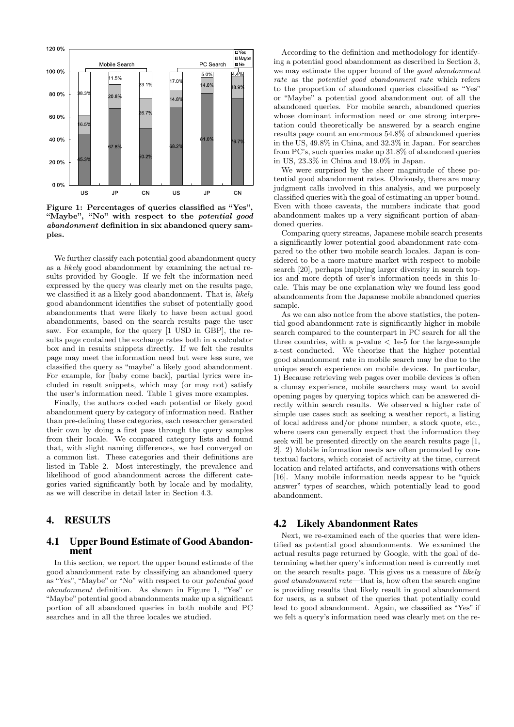

Figure 1: Percentages of queries classified as "Yes", "Maybe", "No" with respect to the *potential good* abandonment definition in six abandoned query samples.

We further classify each potential good abandonment query as a likely good abandonment by examining the actual results provided by Google. If we felt the information need expressed by the query was clearly met on the results page, we classified it as a likely good abandonment. That is, *likely* good abandonment identifies the subset of potentially good abandonments that were likely to have been actual good abandonments, based on the search results page the user saw. For example, for the query [1 USD in GBP], the results page contained the exchange rates both in a calculator box and in results snippets directly. If we felt the results page may meet the information need but were less sure, we classified the query as "maybe" a likely good abandonment. For example, for [baby come back], partial lyrics were included in result snippets, which may (or may not) satisfy the user's information need. Table 1 gives more examples.

Finally, the authors coded each potential or likely good abandonment query by category of information need. Rather than pre-defining these categories, each researcher generated their own by doing a first pass through the query samples from their locale. We compared category lists and found that, with slight naming differences, we had converged on a common list. These categories and their definitions are listed in Table 2. Most interestingly, the prevalence and likelihood of good abandonment across the different categories varied significantly both by locale and by modality, as we will describe in detail later in Section 4.3.

#### 4. RESULTS

## 4.1 Upper Bound Estimate of Good Abandonment

In this section, we report the upper bound estimate of the good abandonment rate by classifying an abandoned query as "Yes", "Maybe" or "No" with respect to our potential good abandonment definition. As shown in Figure 1, "Yes" or "Maybe" potential good abandonments make up a significant portion of all abandoned queries in both mobile and PC searches and in all the three locales we studied.

According to the definition and methodology for identifying a potential good abandonment as described in Section 3, we may estimate the upper bound of the good abandonment rate as the potential good abandonment rate which refers to the proportion of abandoned queries classified as "Yes" or "Maybe" a potential good abandonment out of all the abandoned queries. For mobile search, abandoned queries whose dominant information need or one strong interpretation could theoretically be answered by a search engine results page count an enormous 54.8% of abandoned queries in the US, 49.8% in China, and 32.3% in Japan. For searches from PC's, such queries make up 31.8% of abandoned queries in US, 23.3% in China and 19.0% in Japan.

We were surprised by the sheer magnitude of these potential good abandonment rates. Obviously, there are many judgment calls involved in this analysis, and we purposely classified queries with the goal of estimating an upper bound. Even with those caveats, the numbers indicate that good abandonment makes up a very significant portion of abandoned queries.

Comparing query streams, Japanese mobile search presents a significantly lower potential good abandonment rate compared to the other two mobile search locales. Japan is considered to be a more mature market with respect to mobile search [20], perhaps implying larger diversity in search topics and more depth of user's information needs in this locale. This may be one explanation why we found less good abandonments from the Japanese mobile abandoned queries sample.

As we can also notice from the above statistics, the potential good abandonment rate is significantly higher in mobile search compared to the counterpart in PC search for all the three countries, with a p-value  $\langle$  1e-5 for the large-sample z-test conducted. We theorize that the higher potential good abandonment rate in mobile search may be due to the unique search experience on mobile devices. In particular, 1) Because retrieving web pages over mobile devices is often a clumsy experience, mobile searchers may want to avoid opening pages by querying topics which can be answered directly within search results. We observed a higher rate of simple use cases such as seeking a weather report, a listing of local address and/or phone number, a stock quote, etc., where users can generally expect that the information they seek will be presented directly on the search results page [1, 2]. 2) Mobile information needs are often promoted by contextual factors, which consist of activity at the time, current location and related artifacts, and conversations with others [16]. Many mobile information needs appear to be "quick answer" types of searches, which potentially lead to good abandonment.

# 4.2 Likely Abandonment Rates

Next, we re-examined each of the queries that were identified as potential good abandonments. We examined the actual results page returned by Google, with the goal of determining whether query's information need is currently met on the search results page. This gives us a measure of likely good abandonment rate—that is, how often the search engine is providing results that likely result in good abandonment for users, as a subset of the queries that potentially could lead to good abandonment. Again, we classified as "Yes" if we felt a query's information need was clearly met on the re-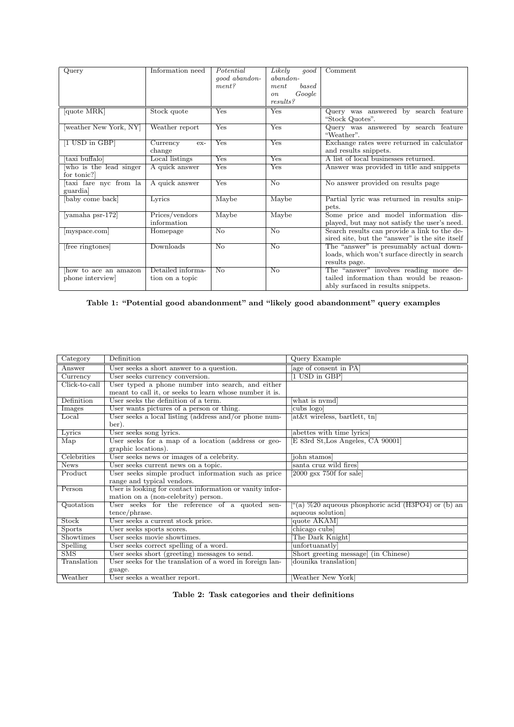| Query                  | Information need  | Potential          | Likely<br>good          | Comment                                         |  |  |
|------------------------|-------------------|--------------------|-------------------------|-------------------------------------------------|--|--|
|                        |                   | qood abandon-      | abandon-                |                                                 |  |  |
|                        |                   | ment?              | based<br>ment           |                                                 |  |  |
|                        |                   |                    | Google<br><sub>on</sub> |                                                 |  |  |
|                        |                   |                    | results?                |                                                 |  |  |
| quote MRK              | Stock quote       | Yes                | Yes                     | Query was answered by search feature            |  |  |
|                        |                   |                    |                         | "Stock Quotes".                                 |  |  |
| weather New York, NY   | Weather report    | Yes                | <b>Yes</b>              | Query was answered by search feature            |  |  |
|                        |                   |                    |                         | "Weather".                                      |  |  |
| [1 USD in GBP]         | Currency<br>ex-   | Yes                | Yes                     | Exchange rates were returned in calculator      |  |  |
|                        | change            |                    |                         | and results snippets.                           |  |  |
| taxi buffalo           | Local listings    | $Y_{\rm es}$       | Yes                     | A list of local businesses returned.            |  |  |
| who is the lead singer | A quick answer    | Yes                | Yes                     | Answer was provided in title and snippets       |  |  |
| for tonic?             |                   |                    |                         |                                                 |  |  |
| taxi fare nyc from la  | A quick answer    | Yes                | $\overline{N_{0}}$      | No answer provided on results page              |  |  |
| guardia                |                   |                    |                         |                                                 |  |  |
| baby come back         | Lyrics            | Maybe              | Maybe                   | Partial lyric was returned in results snip-     |  |  |
|                        |                   |                    |                         | pets.                                           |  |  |
| yamaha psr-172         | Prices/vendors    | Maybe              | Maybe                   | Some price and model information dis-           |  |  |
|                        | information       |                    |                         | played, but may not satisfy the user's need.    |  |  |
| myspace.com            | Homepage          | $\overline{N_{O}}$ | $\overline{N_{\Omega}}$ | Search results can provide a link to the de-    |  |  |
|                        |                   |                    |                         | sired site, but the "answer" is the site itself |  |  |
| free ringtones         | Downloads         | No                 | No                      | The "answer" is presumably actual down-         |  |  |
|                        |                   |                    |                         | loads, which won't surface directly in search   |  |  |
|                        |                   |                    |                         | results page.                                   |  |  |
| how to ace an amazon   | Detailed informa- | N <sub>o</sub>     | No                      | The "answer" involves reading more de-          |  |  |
| phone interview        | tion on a topic   |                    |                         | tailed information than would be reason-        |  |  |
|                        |                   |                    |                         | ably surfaced in results snippets.              |  |  |

Table 1: "Potential good abandonment" and "likely good abandonment" query examples

| Category                  | Definition                                               | Query Example                                                |  |  |
|---------------------------|----------------------------------------------------------|--------------------------------------------------------------|--|--|
| Answer                    | User seeks a short answer to a question.                 | age of consent in PA                                         |  |  |
| Currency                  | User seeks currency conversion.                          | 1 USD in GBP]                                                |  |  |
| Click-to-call             | User typed a phone number into search, and either        |                                                              |  |  |
|                           | meant to call it, or seeks to learn whose number it is.  |                                                              |  |  |
| Definition                | User seeks the definition of a term.                     | what is nymd                                                 |  |  |
| <b>Images</b>             | User wants pictures of a person or thing.                | cubs logo                                                    |  |  |
| Local                     | User seeks a local listing (address and/or phone num-    | at&t wireless, bartlett, tn                                  |  |  |
|                           | ber).                                                    |                                                              |  |  |
| Lyrics                    | User seeks song lyrics.                                  | abettes with time lyrics                                     |  |  |
| $\overline{\text{Map}}$   | User seeks for a map of a location (address or geo-      | E 83rd St, Los Angeles, CA 90001                             |  |  |
|                           | graphic locations).                                      |                                                              |  |  |
| Celebrities               | User seeks news or images of a celebrity.                | [john stamos]                                                |  |  |
| <b>News</b>               | User seeks current news on a topic.                      | santa cruz wild fires                                        |  |  |
| Product                   | User seeks simple product information such as price      | [2000 gsx 750f for sale]                                     |  |  |
|                           | range and typical vendors.                               |                                                              |  |  |
| Person                    | User is looking for contact information or vanity infor- |                                                              |  |  |
|                           | mation on a (non-celebrity) person.                      |                                                              |  |  |
| Quotation                 | User seeks for the reference of a quoted sen-            | $\lbrack$ "(a) %20 aqueous phosphoric acid (H3PO4) or (b) an |  |  |
|                           | tence/phrase.                                            | aqueous solution                                             |  |  |
| Stock                     | User seeks a current stock price.                        | quote AKAM                                                   |  |  |
| <b>Sports</b>             | User seeks sports scores.                                | chicago cubs                                                 |  |  |
| Showtimes                 | User seeks movie showtimes.                              | The Dark Knight                                              |  |  |
| Spelling                  | User seeks correct spelling of a word.                   | unfortuanatly                                                |  |  |
| $\overline{\mathrm{SMS}}$ | User seeks short (greeting) messages to send.            | [Short greeting message] (in Chinese)                        |  |  |
| Translation               | User seeks for the translation of a word in foreign lan- | dounika translation                                          |  |  |
|                           | guage.                                                   |                                                              |  |  |
| Weather                   | User seeks a weather report.                             | Weather New York                                             |  |  |

|  |  | Table 2: Task categories and their definitions |  |  |  |
|--|--|------------------------------------------------|--|--|--|
|--|--|------------------------------------------------|--|--|--|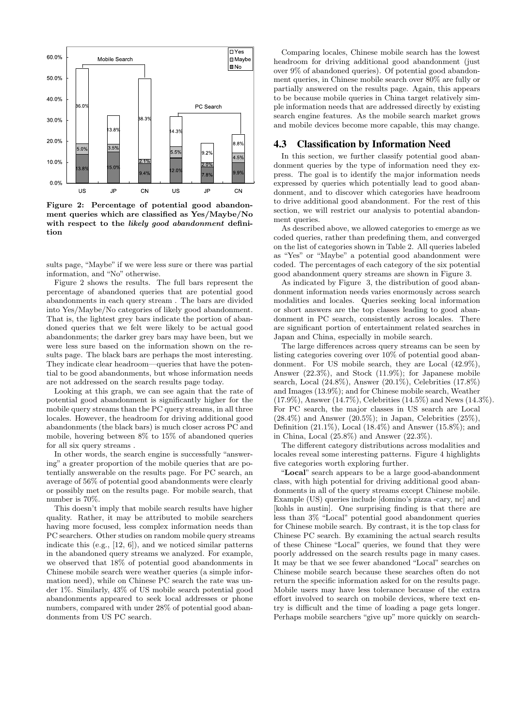

Figure 2: Percentage of potential good abandonment queries which are classified as Yes/Maybe/No with respect to the likely good abandonment definition

sults page, "Maybe" if we were less sure or there was partial information, and "No" otherwise.

Figure 2 shows the results. The full bars represent the percentage of abandoned queries that are potential good abandonments in each query stream . The bars are divided into Yes/Maybe/No categories of likely good abandonment. That is, the lightest grey bars indicate the portion of abandoned queries that we felt were likely to be actual good abandonments; the darker grey bars may have been, but we were less sure based on the information shown on the results page. The black bars are perhaps the most interesting. They indicate clear headroom—queries that have the potential to be good abandonments, but whose information needs are not addressed on the search results page today.

Looking at this graph, we can see again that the rate of potential good abandonment is significantly higher for the mobile query streams than the PC query streams, in all three locales. However, the headroom for driving additional good abandonments (the black bars) is much closer across PC and mobile, hovering between 8% to 15% of abandoned queries for all six query streams .

In other words, the search engine is successfully "answering" a greater proportion of the mobile queries that are potentially answerable on the results page. For PC search, an average of 56% of potential good abandonments were clearly or possibly met on the results page. For mobile search, that number is 70%.

This doesn't imply that mobile search results have higher quality. Rather, it may be attributed to mobile searchers having more focused, less complex information needs than PC searchers. Other studies on random mobile query streams indicate this (e.g., [12, 6]), and we noticed similar patterns in the abandoned query streams we analyzed. For example, we observed that 18% of potential good abandonments in Chinese mobile search were weather queries (a simple information need), while on Chinese PC search the rate was under 1%. Similarly, 43% of US mobile search potential good abandonments appeared to seek local addresses or phone numbers, compared with under 28% of potential good abandonments from US PC search.

Comparing locales, Chinese mobile search has the lowest headroom for driving additional good abandonment (just over 9% of abandoned queries). Of potential good abandonment queries, in Chinese mobile search over 80% are fully or partially answered on the results page. Again, this appears to be because mobile queries in China target relatively simple information needs that are addressed directly by existing search engine features. As the mobile search market grows and mobile devices become more capable, this may change.

## 4.3 Classification by Information Need

In this section, we further classify potential good abandonment queries by the type of information need they express. The goal is to identify the major information needs expressed by queries which potentially lead to good abandonment, and to discover which categories have headroom to drive additional good abandonment. For the rest of this section, we will restrict our analysis to potential abandonment queries.

As described above, we allowed categories to emerge as we coded queries, rather than predefining them, and converged on the list of categories shown in Table 2. All queries labeled as "Yes" or "Maybe" a potential good abandonment were coded. The percentages of each category of the six potential good abandonment query streams are shown in Figure 3.

As indicated by Figure 3, the distribution of good abandonment information needs varies enormously across search modalities and locales. Queries seeking local information or short answers are the top classes leading to good abandonment in PC search, consistently across locales. There are significant portion of entertainment related searches in Japan and China, especially in mobile search.

The large differences across query streams can be seen by listing categories covering over 10% of potential good abandonment. For US mobile search, they are Local (42.9%), Answer (22.3%), and Stock (11.9%); for Japanese mobile search, Local (24.8%), Answer (20.1%), Celebrities (17.8%) and Images (13.9%); and for Chinese mobile search, Weather (17.9%), Answer (14.7%), Celebrities (14.5%) and News (14.3%). For PC search, the major classes in US search are Local  $(28.4\%)$  and Answer  $(20.5\%)$ ; in Japan, Celebrities  $(25\%)$ , Definition (21.1%), Local (18.4%) and Answer (15.8%); and in China, Local (25.8%) and Answer (22.3%).

The different category distributions across modalities and locales reveal some interesting patterns. Figure 4 highlights five categories worth exploring further.

"Local" search appears to be a large good-abandonment class, with high potential for driving additional good abandonments in all of the query streams except Chinese mobile. Example (US) queries include [domino's pizza -cary, nc] and [kohls in austin]. One surprising finding is that there are less than 3% "Local" potential good abandonment queries for Chinese mobile search. By contrast, it is the top class for Chinese PC search. By examining the actual search results of these Chinese "Local" queries, we found that they were poorly addressed on the search results page in many cases. It may be that we see fewer abandoned "Local" searches on Chinese mobile search because these searches often do not return the specific information asked for on the results page. Mobile users may have less tolerance because of the extra effort involved to search on mobile devices, where text entry is difficult and the time of loading a page gets longer. Perhaps mobile searchers "give up" more quickly on search-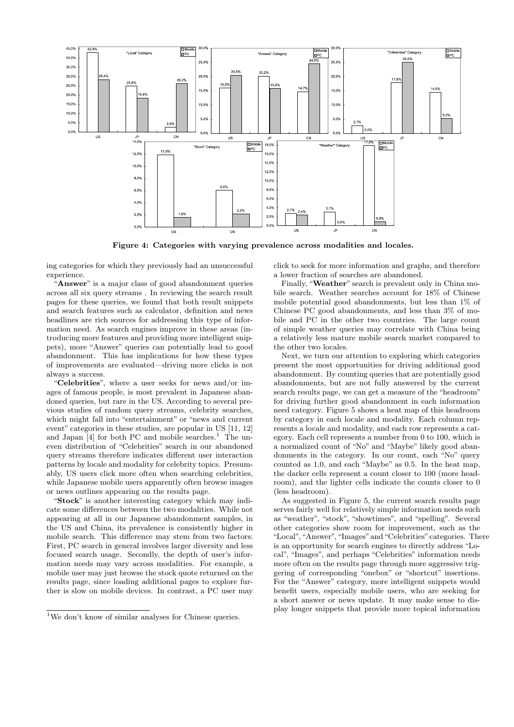

Figure 4: Categories with varying prevalence across modalities and locales.

ing categories for which they previously had an unsuccessful experience.

"Answer" is a major class of good abandonment queries across all six query streams . In reviewing the search result pages for these queries, we found that both result snippets and search features such as calculator, definition and news headlines are rich sources for addressing this type of information need. As search engines improve in these areas (introducing more features and providing more intelligent snippets), more "Answer" queries can potentially lead to good abandonment. This has implications for how these types of improvements are evaluated—driving more clicks is not always a success.

"Celebrities", where a user seeks for news and/or images of famous people, is most prevalent in Japanese abandoned queries, but rare in the US. According to several previous studies of random query streams, celebrity searches, which might fall into "entertainment" or "news and current event" categories in these studies, are popular in US [11, 12] and Japan  $[4]$  for both PC and mobile searches.<sup>1</sup> The uneven distribution of "Celebrities" search in our abandoned query streams therefore indicates different user interaction patterns by locale and modality for celebrity topics. Presumably, US users click more often when searching celebrities, while Japanese mobile users apparently often browse images or news outlines appearing on the results page.

"Stock" is another interesting category which may indicate some differences between the two modalities. While not appearing at all in our Japanese abandonment samples, in the US and China, its prevalence is consistently higher in mobile search. This difference may stem from two factors: First, PC search in general involves larger diversity and less focused search usage. Secondly, the depth of user's information needs may vary across modalities. For example, a mobile user may just browse the stock quote returned on the results page, since loading additional pages to explore further is slow on mobile devices. In contrast, a PC user may click to seek for more information and graphs, and therefore a lower fraction of searches are abandoned.

Finally, "Weather" search is prevalent only in China mobile search. Weather searches account for 18% of Chinese mobile potential good abandonments, but less than 1% of Chinese PC good abandonments, and less than 3% of mobile and PC in the other two countries. The large count of simple weather queries may correlate with China being a relatively less mature mobile search market compared to the other two locales.

Next, we turn our attention to exploring which categories present the most opportunities for driving additional good abandonment. By counting queries that are potentially good abandonments, but are not fully answered by the current search results page, we can get a measure of the "headroom" for driving further good abandonment in each information need category. Figure 5 shows a heat map of this headroom by category in each locale and modality. Each column represents a locale and modality, and each row represents a category. Each cell represents a number from 0 to 100, which is a normalized count of "No" and "Maybe" likely good abandonments in the category. In our count, each "No" query counted as 1.0, and each "Maybe" as 0.5. In the heat map, the darker cells represent a count closer to 100 (more headroom), and the lighter cells indicate the counts closer to 0 (less headroom).

As suggested in Figure 5, the current search results page serves fairly well for relatively simple information needs such as "weather", "stock", "showtimes", and "spelling". Several other categories show room for improvement, such as the "Local", "Answer", "Images" and "Celebrities" categories. There is an opportunity for search engines to directly address "Local", "Images", and perhaps "Celebrities" information needs more often on the results page through more aggressive triggering of corresponding "onebox" or "shortcut" insertions. For the "Answer" category, more intelligent snippets would benefit users, especially mobile users, who are seeking for a short answer or news update. It may make sense to display longer snippets that provide more topical information

 $^{1}\mathrm{We}$  don't know of similar analyses for Chinese queries.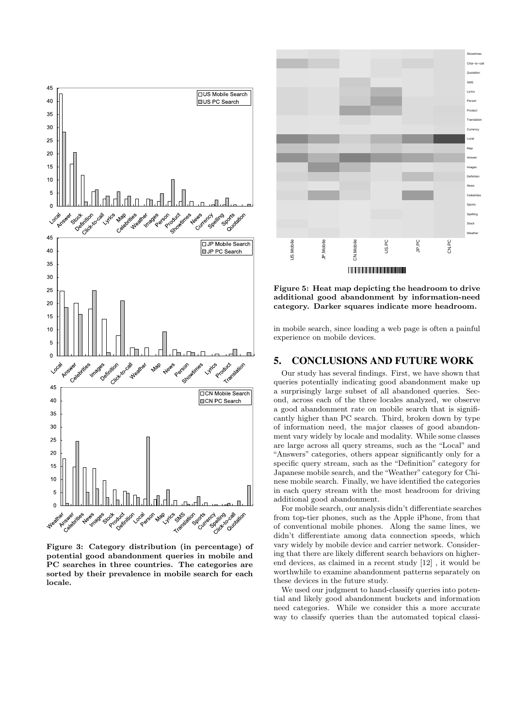

Figure 3: Category distribution (in percentage) of potential good abandonment queries in mobile and PC searches in three countries. The categories are sorted by their prevalence in mobile search for each locale.



Figure 5: Heat map depicting the headroom to drive additional good abandonment by information-need category. Darker squares indicate more headroom.

in mobile search, since loading a web page is often a painful experience on mobile devices.

#### 5. CONCLUSIONS AND FUTURE WORK

Our study has several findings. First, we have shown that queries potentially indicating good abandonment make up a surprisingly large subset of all abandoned queries. Second, across each of the three locales analyzed, we observe a good abandonment rate on mobile search that is significantly higher than PC search. Third, broken down by type of information need, the major classes of good abandonment vary widely by locale and modality. While some classes are large across all query streams, such as the "Local" and "Answers" categories, others appear significantly only for a specific query stream, such as the "Definition" category for Japanese mobile search, and the "Weather" category for Chinese mobile search. Finally, we have identified the categories in each query stream with the most headroom for driving additional good abandonment.

For mobile search, our analysis didn't differentiate searches from top-tier phones, such as the Apple iPhone, from that of conventional mobile phones. Along the same lines, we didn't differentiate among data connection speeds, which vary widely by mobile device and carrier network. Considering that there are likely different search behaviors on higherend devices, as claimed in a recent study [12] , it would be worthwhile to examine abandonment patterns separately on these devices in the future study.

We used our judgment to hand-classify queries into potential and likely good abandonment buckets and information need categories. While we consider this a more accurate way to classify queries than the automated topical classi